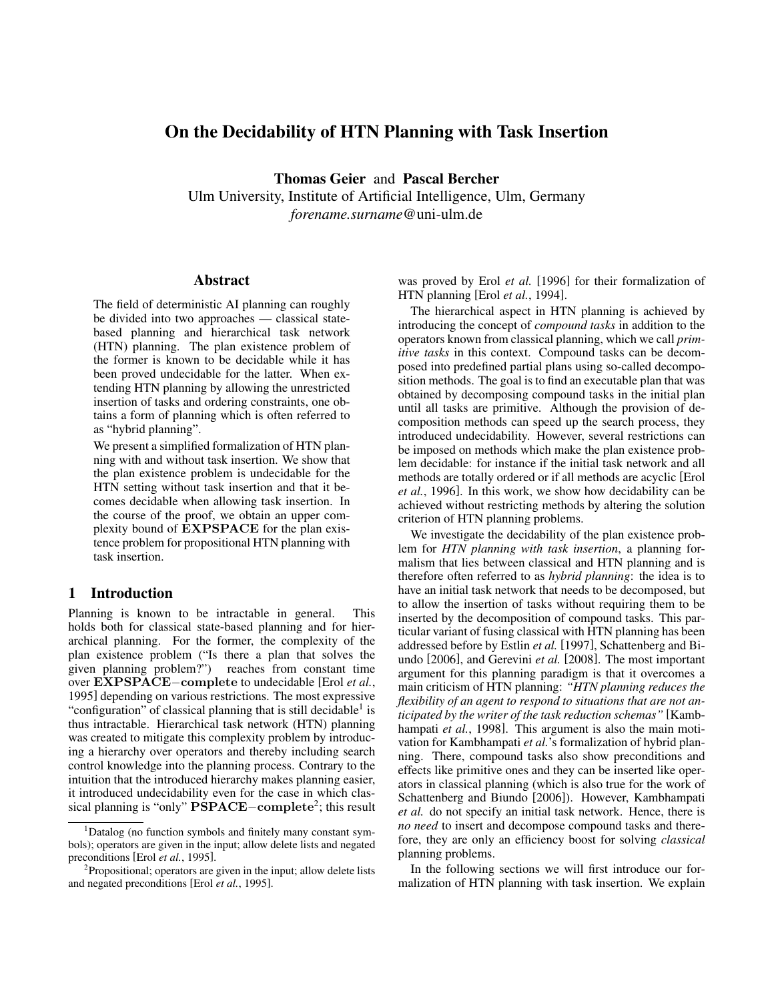# On the Decidability of HTN Planning with Task Insertion

Thomas Geier and Pascal Bercher

Ulm University, Institute of Artificial Intelligence, Ulm, Germany *forename.surname*@uni-ulm.de

### Abstract

The field of deterministic AI planning can roughly be divided into two approaches — classical statebased planning and hierarchical task network (HTN) planning. The plan existence problem of the former is known to be decidable while it has been proved undecidable for the latter. When extending HTN planning by allowing the unrestricted insertion of tasks and ordering constraints, one obtains a form of planning which is often referred to as "hybrid planning".

We present a simplified formalization of HTN planning with and without task insertion. We show that the plan existence problem is undecidable for the HTN setting without task insertion and that it becomes decidable when allowing task insertion. In the course of the proof, we obtain an upper complexity bound of EXPSPACE for the plan existence problem for propositional HTN planning with task insertion.

# 1 Introduction

Planning is known to be intractable in general. This holds both for classical state-based planning and for hierarchical planning. For the former, the complexity of the plan existence problem ("Is there a plan that solves the given planning problem?") reaches from constant time over EXPSPACE−complete to undecidable [Erol *et al.*, 1995] depending on various restrictions. The most expressive "configuration" of classical planning that is still decidable<sup>1</sup> is thus intractable. Hierarchical task network (HTN) planning was created to mitigate this complexity problem by introducing a hierarchy over operators and thereby including search control knowledge into the planning process. Contrary to the intuition that the introduced hierarchy makes planning easier, it introduced undecidability even for the case in which classical planning is "only" PSPACE−complete<sup>2</sup>; this result was proved by Erol *et al.* [1996] for their formalization of HTN planning [Erol *et al.*, 1994].

The hierarchical aspect in HTN planning is achieved by introducing the concept of *compound tasks* in addition to the operators known from classical planning, which we call *primitive tasks* in this context. Compound tasks can be decomposed into predefined partial plans using so-called decomposition methods. The goal is to find an executable plan that was obtained by decomposing compound tasks in the initial plan until all tasks are primitive. Although the provision of decomposition methods can speed up the search process, they introduced undecidability. However, several restrictions can be imposed on methods which make the plan existence problem decidable: for instance if the initial task network and all methods are totally ordered or if all methods are acyclic [Erol *et al.*, 1996]. In this work, we show how decidability can be achieved without restricting methods by altering the solution criterion of HTN planning problems.

We investigate the decidability of the plan existence problem for *HTN planning with task insertion*, a planning formalism that lies between classical and HTN planning and is therefore often referred to as *hybrid planning*: the idea is to have an initial task network that needs to be decomposed, but to allow the insertion of tasks without requiring them to be inserted by the decomposition of compound tasks. This particular variant of fusing classical with HTN planning has been addressed before by Estlin *et al.* [1997], Schattenberg and Biundo [2006], and Gerevini *et al.* [2008]. The most important argument for this planning paradigm is that it overcomes a main criticism of HTN planning: *"HTN planning reduces the flexibility of an agent to respond to situations that are not anticipated by the writer of the task reduction schemas"* [Kambhampati *et al.*, 1998]. This argument is also the main motivation for Kambhampati *et al.*'s formalization of hybrid planning. There, compound tasks also show preconditions and effects like primitive ones and they can be inserted like operators in classical planning (which is also true for the work of Schattenberg and Biundo [2006]). However, Kambhampati *et al.* do not specify an initial task network. Hence, there is *no need* to insert and decompose compound tasks and therefore, they are only an efficiency boost for solving *classical* planning problems.

In the following sections we will first introduce our formalization of HTN planning with task insertion. We explain

 $1$ Datalog (no function symbols and finitely many constant symbols); operators are given in the input; allow delete lists and negated preconditions [Erol *et al.*, 1995].

<sup>&</sup>lt;sup>2</sup>Propositional; operators are given in the input; allow delete lists and negated preconditions [Erol *et al.*, 1995].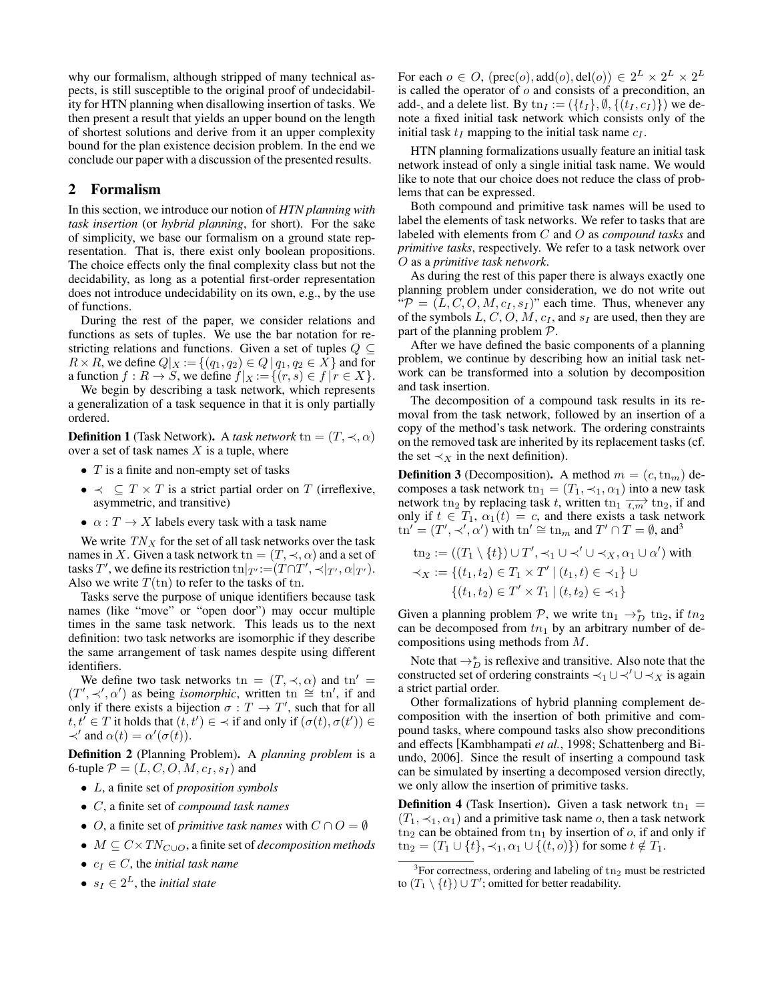why our formalism, although stripped of many technical aspects, is still susceptible to the original proof of undecidability for HTN planning when disallowing insertion of tasks. We then present a result that yields an upper bound on the length of shortest solutions and derive from it an upper complexity bound for the plan existence decision problem. In the end we conclude our paper with a discussion of the presented results.

## 2 Formalism

In this section, we introduce our notion of *HTN planning with task insertion* (or *hybrid planning*, for short). For the sake of simplicity, we base our formalism on a ground state representation. That is, there exist only boolean propositions. The choice effects only the final complexity class but not the decidability, as long as a potential first-order representation does not introduce undecidability on its own, e.g., by the use of functions.

During the rest of the paper, we consider relations and functions as sets of tuples. We use the bar notation for restricting relations and functions. Given a set of tuples  $Q \subseteq$  $R \times R$ , we define  $Q|_X := \{(q_1, q_2) \in Q | q_1, q_2 \in X\}$  and for a function  $f: R \to S$ , we define  $f|_X := \{(r, s) \in f | r \in X\}.$ 

We begin by describing a task network, which represents a generalization of a task sequence in that it is only partially ordered.

**Definition 1** (Task Network). A *task network*  $\tan = (T, \prec, \alpha)$ over a set of task names  $X$  is a tuple, where

- $T$  is a finite and non-empty set of tasks
- $\prec \subseteq T \times T$  is a strict partial order on T (irreflexive, asymmetric, and transitive)
- $\alpha: T \to X$  labels every task with a task name

We write  $TN_X$  for the set of all task networks over the task names in X. Given a task network that  $(T, \prec, \alpha)$  and a set of tasks  $T',$  we define its restriction  $\mathrm{tn}|_{T'}\!:=\!(\overline{T}\cap\overline{T}',\prec|_{T'},\alpha|_{T'}).$ Also we write  $T(\text{tn})$  to refer to the tasks of tn.

Tasks serve the purpose of unique identifiers because task names (like "move" or "open door") may occur multiple times in the same task network. This leads us to the next definition: two task networks are isomorphic if they describe the same arrangement of task names despite using different identifiers.

We define two task networks tn =  $(T, \prec, \alpha)$  and tn' =  $(T', \prec', \alpha')$  as being *isomorphic*, written tn  $\cong$  tn', if and only if there exists a bijection  $\sigma : T \to T'$ , such that for all  $t, t' \in T$  it holds that  $(t, t') \in \prec$  if and only if  $(\sigma(t), \sigma(t')) \in$  $\prec'$  and  $\alpha(t) = \alpha'(\sigma(t)).$ 

Definition 2 (Planning Problem). A *planning problem* is a 6-tuple  $\mathcal{P} = (L, C, O, M, c_I, s_I)$  and

- L, a finite set of *proposition symbols*
- C, a finite set of *compound task names*
- O, a finite set of *primitive task names* with  $C \cap O = \emptyset$
- $M \subseteq C \times TN_{C \cup O}$ , a finite set of *decomposition methods*
- $c_I \in C$ , the *initial task name*
- $s_I \in 2^L$ , the *initial state*

For each  $o \in O$ , (prec $(o)$ , add $(o)$ , del $(o)$ )  $\in 2^L \times 2^L \times 2^L$ is called the operator of  $o$  and consists of a precondition, an add-, and a delete list. By  $\text{tn}_I := (\{t_I\}, \emptyset, \{(t_I, c_I)\})$  we denote a fixed initial task network which consists only of the initial task  $t_I$  mapping to the initial task name  $c_I$ .

HTN planning formalizations usually feature an initial task network instead of only a single initial task name. We would like to note that our choice does not reduce the class of problems that can be expressed.

Both compound and primitive task names will be used to label the elements of task networks. We refer to tasks that are labeled with elements from C and O as *compound tasks* and *primitive tasks*, respectively. We refer to a task network over O as a *primitive task network*.

As during the rest of this paper there is always exactly one planning problem under consideration, we do not write out " $\mathcal{P} = (L, C, O, M, c_I, s_I)$ " each time. Thus, whenever any of the symbols  $L, C, O, M, c_I$ , and  $s_I$  are used, then they are part of the planning problem P.

After we have defined the basic components of a planning problem, we continue by describing how an initial task network can be transformed into a solution by decomposition and task insertion.

The decomposition of a compound task results in its removal from the task network, followed by an insertion of a copy of the method's task network. The ordering constraints on the removed task are inherited by its replacement tasks (cf. the set  $\prec_X$  in the next definition).

**Definition 3** (Decomposition). A method  $m = (c, \text{tn}_m)$  decomposes a task network tn<sub>1</sub> =  $(T_1, \prec_1, \alpha_1)$  into a new task network tn<sub>2</sub> by replacing task t, written tn<sub>1</sub>  $\overrightarrow{t,m}$  tn<sub>2</sub>, if and only if  $t \in T_1$ ,  $\alpha_1(t) = c$ , and there exists a task network  $\tan' = (T', \prec', \alpha')$  with  $\tan' \cong \tan_m$  and  $T' \cap T = \emptyset$ , and<sup>3</sup>

$$
\begin{aligned} \text{tn}_2 &:= \left( (T_1 \setminus \{t\}) \cup T', \prec_1 \cup \prec' \cup \prec_X, \alpha_1 \cup \alpha' \right) \text{ with } \\ \prec_X &:= \{ (t_1, t_2) \in T_1 \times T' \mid (t_1, t) \in \prec_1 \} \cup \\ & \{ (t_1, t_2) \in T' \times T_1 \mid (t, t_2) \in \prec_1 \} \end{aligned}
$$

Given a planning problem P, we write  $tn_1 \rightarrow_D^* tn_2$ , if  $tn_2$ can be decomposed from  $tn_1$  by an arbitrary number of decompositions using methods from M.

Note that  $\rightarrow_D^*$  is reflexive and transitive. Also note that the constructed set of ordering constraints  $\prec_1 \cup \prec' \cup \prec_X$  is again a strict partial order.

Other formalizations of hybrid planning complement decomposition with the insertion of both primitive and compound tasks, where compound tasks also show preconditions and effects [Kambhampati *et al.*, 1998; Schattenberg and Biundo, 2006]. Since the result of inserting a compound task can be simulated by inserting a decomposed version directly, we only allow the insertion of primitive tasks.

**Definition 4** (Task Insertion). Given a task network  $tn_1$  =  $(T_1, \prec_1, \alpha_1)$  and a primitive task name o, then a task network  $tn_2$  can be obtained from  $tn_1$  by insertion of  $o$ , if and only if  $t_{n_2} = (T_1 \cup \{t\}, \prec_1, \alpha_1 \cup \{(t, o)\})$  for some  $t \notin T_1$ .

 $3$ For correctness, ordering and labeling of tn<sub>2</sub> must be restricted to  $(T_1 \setminus \{t\}) \cup T'$ ; omitted for better readability.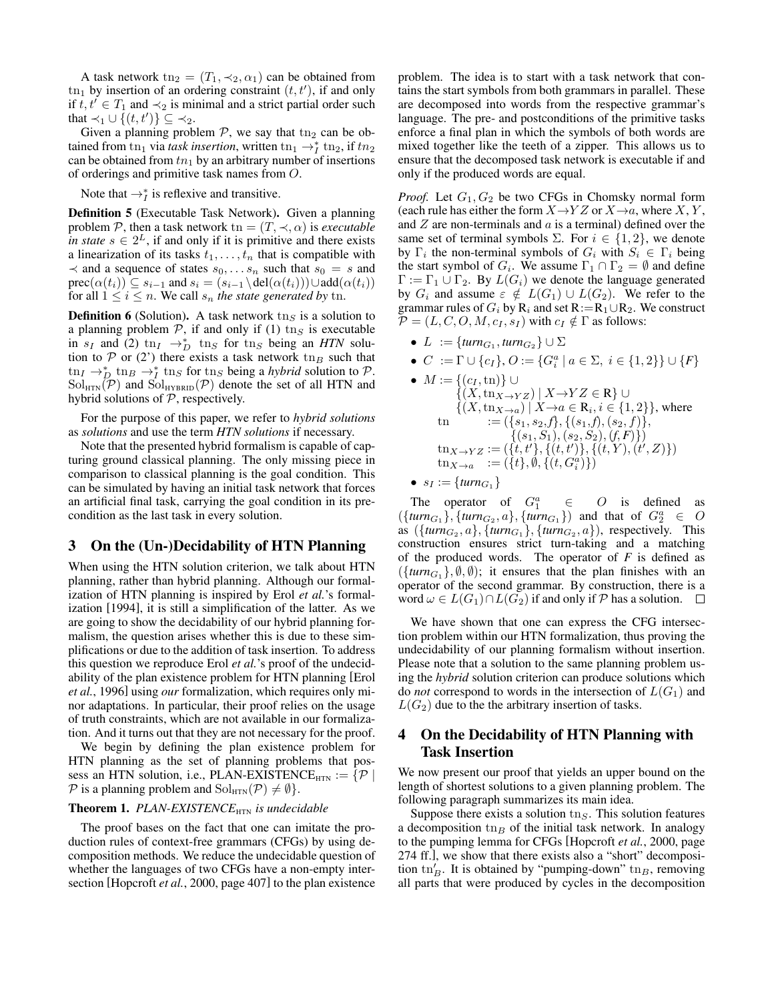A task network tn<sub>2</sub> =  $(T_1, \prec_2, \alpha_1)$  can be obtained from tn<sub>1</sub> by insertion of an ordering constraint  $(t, t')$ , if and only if  $t, t' \in T_1$  and  $\prec_2$  is minimal and a strict partial order such that  $\prec_1 \cup \{(t, t')\} \subseteq \prec_2$ .

Given a planning problem  $P$ , we say that tn<sub>2</sub> can be obtained from tn<sub>1</sub> via *task insertion*, written tn<sub>1</sub>  $\rightarrow^*_I$  tn<sub>2</sub>, if tn<sub>2</sub> can be obtained from  $tn_1$  by an arbitrary number of insertions of orderings and primitive task names from O.

Note that  $\rightarrow_I^*$  is reflexive and transitive.

Definition 5 (Executable Task Network). Given a planning problem P, then a task network tn =  $(T, \prec, \alpha)$  is *executable in state*  $s \in 2^L$ , if and only if it is primitive and there exists a linearization of its tasks  $t_1, \ldots, t_n$  that is compatible with  $\prec$  and a sequence of states  $s_0, \ldots s_n$  such that  $s_0 = s$  and  $prec(\alpha(t_i)) \subseteq s_{i-1}$  and  $s_i = (s_{i-1} \setminus del(\alpha(t_i))) \cup add(\alpha(t_i))$ for all  $1 \leq i \leq n$ . We call  $s_n$  *the state generated by tn.* 

**Definition 6** (Solution). A task network tn<sub>S</sub> is a solution to a planning problem  $P$ , if and only if (1) tn<sub>S</sub> is executable in  $s_I$  and (2) tn<sub>I</sub>  $\rightarrow_D^*$  tn<sub>S</sub> for tn<sub>S</sub> being an *HTN* solution to  $P$  or (2') there exists a task network tn<sub>B</sub> such that  $\tan I \rightarrow_D^*$  tn<sub>B</sub>  $\rightarrow_I^*$  tn<sub>S</sub> for tn<sub>S</sub> being a *hybrid* solution to P.  $Sol_{HTN}(\mathcal{P})$  and  $Sol_{HYBRID}(\mathcal{P})$  denote the set of all HTN and hybrid solutions of P, respectively.

For the purpose of this paper, we refer to *hybrid solutions* as *solutions* and use the term *HTN solutions* if necessary.

Note that the presented hybrid formalism is capable of capturing ground classical planning. The only missing piece in comparison to classical planning is the goal condition. This can be simulated by having an initial task network that forces an artificial final task, carrying the goal condition in its precondition as the last task in every solution.

# 3 On the (Un-)Decidability of HTN Planning

When using the HTN solution criterion, we talk about HTN planning, rather than hybrid planning. Although our formalization of HTN planning is inspired by Erol *et al.*'s formalization [1994], it is still a simplification of the latter. As we are going to show the decidability of our hybrid planning formalism, the question arises whether this is due to these simplifications or due to the addition of task insertion. To address this question we reproduce Erol *et al.*'s proof of the undecidability of the plan existence problem for HTN planning [Erol *et al.*, 1996] using *our* formalization, which requires only minor adaptations. In particular, their proof relies on the usage of truth constraints, which are not available in our formalization. And it turns out that they are not necessary for the proof.

We begin by defining the plan existence problem for HTN planning as the set of planning problems that possess an HTN solution, i.e., PLAN-EXISTENCE $_{\text{HTN}}$  := { $\mathcal{P}$  | P is a planning problem and  $Sol_{\text{HTN}}(\mathcal{P}) \neq \emptyset$ .

### Theorem 1. *PLAN-EXISTENCE<sub>HTN</sub>* is undecidable

The proof bases on the fact that one can imitate the production rules of context-free grammars (CFGs) by using decomposition methods. We reduce the undecidable question of whether the languages of two CFGs have a non-empty intersection [Hopcroft *et al.*, 2000, page 407] to the plan existence problem. The idea is to start with a task network that contains the start symbols from both grammars in parallel. These are decomposed into words from the respective grammar's language. The pre- and postconditions of the primitive tasks enforce a final plan in which the symbols of both words are mixed together like the teeth of a zipper. This allows us to ensure that the decomposed task network is executable if and only if the produced words are equal.

*Proof.* Let  $G_1, G_2$  be two CFGs in Chomsky normal form (each rule has either the form  $X \rightarrow YZ$  or  $X \rightarrow a$ , where X, Y, and  $Z$  are non-terminals and  $a$  is a terminal) defined over the same set of terminal symbols  $\Sigma$ . For  $i \in \{1, 2\}$ , we denote by  $\Gamma_i$  the non-terminal symbols of  $G_i$  with  $S_i \in \Gamma_i$  being the start symbol of  $G_i$ . We assume  $\Gamma_1 \cap \Gamma_2 = \emptyset$  and define  $\Gamma := \Gamma_1 \cup \Gamma_2$ . By  $L(G_i)$  we denote the language generated by  $G_i$  and assume  $\varepsilon \notin L(G_1) \cup L(G_2)$ . We refer to the grammar rules of  $G_i$  by  $R_i$  and set  $R:=R_1\cup R_2$ . We construct  $\mathcal{P} = (L, C, O, M, c_I, s_I)$  with  $c_I \notin \Gamma$  as follows:

- $\bullet$   $L := \{turn_{G_1}, turn_{G_2}\} \cup \Sigma$
- $C := \Gamma \cup \{c_I\}, O := \{G_i^a \mid a \in \Sigma, i \in \{1, 2\}\} \cup \{F\}$

• 
$$
M := \{(c_I, \text{tn})\} \cup \{ (X, \text{tn}_{X \to YZ}) \mid X \to YZ \in \mathbb{R} \} \cup \{ (X, \text{tn}_{X \to a}) \mid X \to a \in \mathbb{R}_i, i \in \{1, 2\} \}, \text{ where } \text{tn} := (\{s_1, s_2, f\}, \{(s_1, f), (s_2, f)\}, \text{tn}_{X \to YZ} := (\{t, t'\}, \{(t, t')\}, \{(t, Y), (t', Z)\}) \text{tn}_{X \to a} := (\{t\}, \emptyset, \{(t, G_i^a)\}) \bullet s_I := \{turn_{G_1}\} \}
$$

The operator of  $G_1^a \in O$  is defined as  $({\{turn_{G_1}\}, \{turn_{G_2}, a\}, \{turn_{G_1}\})}$  and that of  $G_2^a \in O$ as  $({\{turn_{G_2}, a\}, \{turn_{G_1}\}, \{turn_{G_2}, a\})$ , respectively. This construction ensures strict turn-taking and a matching of the produced words. The operator of *F* is defined as  $({\{turn_{G_1}\}, \emptyset, \emptyset})$ ; it ensures that the plan finishes with an operator of the second grammar. By construction, there is a word  $\omega \in L(G_1) \cap L(G_2)$  if and only if P has a solution.  $\Box$ 

We have shown that one can express the CFG intersection problem within our HTN formalization, thus proving the undecidability of our planning formalism without insertion. Please note that a solution to the same planning problem using the *hybrid* solution criterion can produce solutions which do *not* correspond to words in the intersection of  $L(G_1)$  and  $L(G_2)$  due to the the arbitrary insertion of tasks.

# 4 On the Decidability of HTN Planning with Task Insertion

We now present our proof that yields an upper bound on the length of shortest solutions to a given planning problem. The following paragraph summarizes its main idea.

Suppose there exists a solution  $\text{tn}_S$ . This solution features a decomposition  $\text{tn}_B$  of the initial task network. In analogy to the pumping lemma for CFGs [Hopcroft *et al.*, 2000, page 274 ff.], we show that there exists also a "short" decomposition  $\text{tn}_B'$ . It is obtained by "pumping-down"  $\text{tn}_B$ , removing all parts that were produced by cycles in the decomposition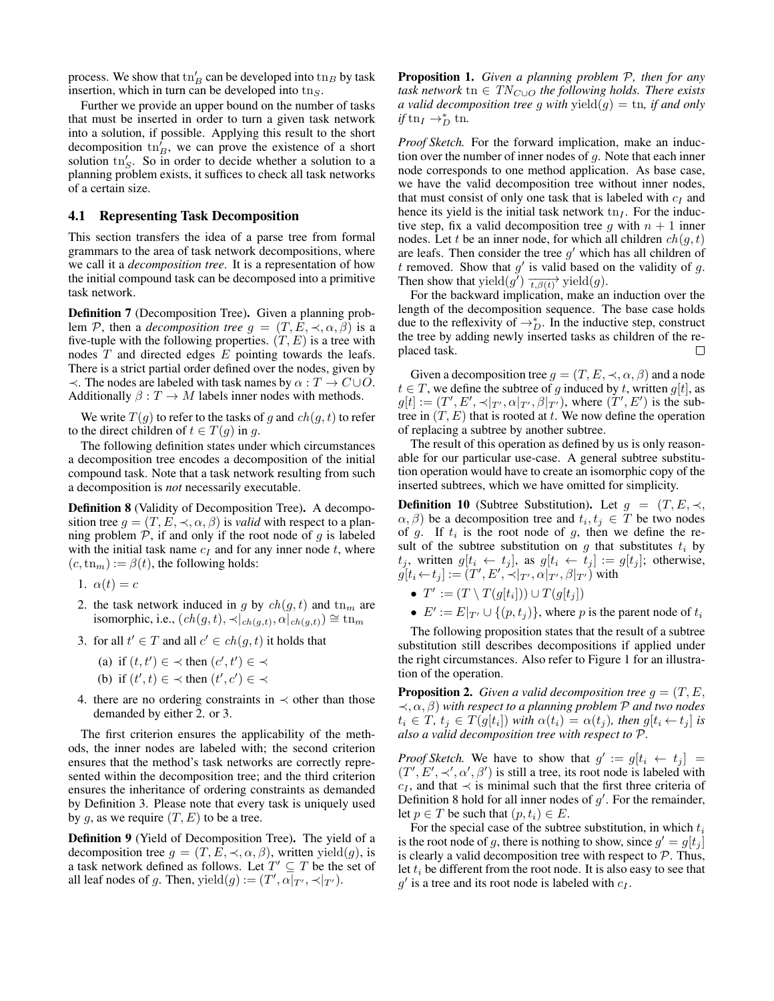process. We show that  $\text{tn}_B'$  can be developed into  $\text{tn}_B$  by task insertion, which in turn can be developed into  $\text{tn}_S$ .

Further we provide an upper bound on the number of tasks that must be inserted in order to turn a given task network into a solution, if possible. Applying this result to the short decomposition  $\text{tn}_B^{\prime}$ , we can prove the existence of a short solution  $\text{tn}_S'$ . So in order to decide whether a solution to a planning problem exists, it suffices to check all task networks of a certain size.

### 4.1 Representing Task Decomposition

This section transfers the idea of a parse tree from formal grammars to the area of task network decompositions, where we call it a *decomposition tree*. It is a representation of how the initial compound task can be decomposed into a primitive task network.

Definition 7 (Decomposition Tree). Given a planning problem P, then a *decomposition tree*  $g = (T, E, \prec, \alpha, \beta)$  is a five-tuple with the following properties.  $(T, E)$  is a tree with nodes  $T$  and directed edges  $E$  pointing towards the leafs. There is a strict partial order defined over the nodes, given by  $\prec$ . The nodes are labeled with task names by  $\alpha : T \to C \cup O$ . Additionally  $\beta : T \to M$  labels inner nodes with methods.

We write  $T(q)$  to refer to the tasks of g and  $ch(q, t)$  to refer to the direct children of  $t \in T(g)$  in g.

The following definition states under which circumstances a decomposition tree encodes a decomposition of the initial compound task. Note that a task network resulting from such a decomposition is *not* necessarily executable.

Definition 8 (Validity of Decomposition Tree). A decomposition tree  $g = (T, E, \prec, \alpha, \beta)$  is *valid* with respect to a planning problem  $P$ , if and only if the root node of g is labeled with the initial task name  $c_I$  and for any inner node t, where  $(c, \text{tn}_m) := \beta(t)$ , the following holds:

1. 
$$
\alpha(t) = c
$$

- 2. the task network induced in g by  $ch(g, t)$  and  $t n_m$  are isomorphic, i.e.,  $(ch(g, t), \prec | ch(g, t), \alpha | ch(g, t)) \cong \text{tn}_m$
- 3. for all  $t' \in T$  and all  $c' \in ch(g, t)$  it holds that

(a) if 
$$
(t, t') \in \prec
$$
 then  $(c', t') \in \prec$   
(b) if  $(t', t) \in \prec$  then  $(t', c') \in \prec$ 

4. there are no ordering constraints in  $\prec$  other than those demanded by either 2. or 3.

The first criterion ensures the applicability of the methods, the inner nodes are labeled with; the second criterion ensures that the method's task networks are correctly represented within the decomposition tree; and the third criterion ensures the inheritance of ordering constraints as demanded by Definition 3. Please note that every task is uniquely used by g, as we require  $(T, E)$  to be a tree.

Definition 9 (Yield of Decomposition Tree). The yield of a decomposition tree  $g = (T, E, \prec, \alpha, \beta)$ , written yield $(g)$ , is a task network defined as follows. Let  $T' \subseteq T$  be the set of all leaf nodes of g. Then,  $yield(g) := (T', \alpha|_{T'}, \prec |_{T'})$ .

Proposition 1. *Given a planning problem* P*, then for any task network* tn ∈  $TN_{C∪O}$  *the following holds. There exists a valid decomposition tree g with* yield $(g) = \text{tn}$ *, if and only if* tn<sub>I</sub>  $\rightarrow_D^*$  tn.

*Proof Sketch.* For the forward implication, make an induction over the number of inner nodes of  $q$ . Note that each inner node corresponds to one method application. As base case, we have the valid decomposition tree without inner nodes, that must consist of only one task that is labeled with  $c_I$  and hence its yield is the initial task network  $tn<sub>I</sub>$ . For the inductive step, fix a valid decomposition tree g with  $n + 1$  inner nodes. Let t be an inner node, for which all children  $ch(q, t)$ are leafs. Then consider the tree  $g'$  which has all children of t removed. Show that  $g'$  is valid based on the validity of g. Then show that yield $(g')$   $\overrightarrow{t, \beta(t)}$  yield $(g)$ .

For the backward implication, make an induction over the length of the decomposition sequence. The base case holds due to the reflexivity of  $\rightarrow_D^*$ . In the inductive step, construct the tree by adding newly inserted tasks as children of the replaced task.  $\Box$ 

Given a decomposition tree  $g = (T, E, \prec, \alpha, \beta)$  and a node  $t \in T$ , we define the subtree of g induced by t, written g[t], as  $g[t] := (T', E', \prec|_{T'}, \alpha|_{T'}, \beta|_{T'})$ , where  $(T', E')$  is the subtree in  $(T, E)$  that is rooted at t. We now define the operation of replacing a subtree by another subtree.

The result of this operation as defined by us is only reasonable for our particular use-case. A general subtree substitution operation would have to create an isomorphic copy of the inserted subtrees, which we have omitted for simplicity.

**Definition 10** (Subtree Substitution). Let  $g = (T, E, \prec, \prec)$  $(\alpha, \beta)$  be a decomposition tree and  $t_i, t_j \in T$  be two nodes of g. If  $t_i$  is the root node of g, then we define the result of the subtree substitution on  $g$  that substitutes  $t_i$  by  $t_j$ , written  $g[t_i \leftarrow t_j]$ , as  $g[t_i \leftarrow t_j] := g[t_j]$ ; otherwise,  $g[t_i \leftarrow t_j] := (T', E', \prec|_{T'}, \alpha|_{T'}, \beta|_{T'})$  with

- $T' := (T \setminus T(g[t_i])) \cup T(g[t_j])$
- $E' := E|_{T'} \cup \{(p, t_j)\}\text{, where } p \text{ is the parent node of } t_i$

The following proposition states that the result of a subtree substitution still describes decompositions if applied under the right circumstances. Also refer to Figure 1 for an illustration of the operation.

**Proposition 2.** *Given a valid decomposition tree*  $g = (T, E, \mathcal{E})$  $\prec, \alpha, \beta$ ) *with respect to a planning problem* P *and two nodes*  $t_i \in T$ ,  $t_j \in T(g[t_i])$  with  $\alpha(t_i) = \alpha(t_j)$ , then  $g[t_i \leftarrow t_j]$  is *also a valid decomposition tree with respect to* P*.*

*Proof Sketch.* We have to show that  $g' := g[t_i \leftarrow t_j] =$  $(T', E', \prec', \alpha', \beta')$  is still a tree, its root node is labeled with  $c_I$ , and that  $\prec$  is minimal such that the first three criteria of Definition 8 hold for all inner nodes of  $g'$ . For the remainder, let  $p \in T$  be such that  $(p, t_i) \in E$ .

For the special case of the subtree substitution, in which  $t_i$ is the root node of g, there is nothing to show, since  $g' = g[t_j]$ is clearly a valid decomposition tree with respect to  $P$ . Thus, let  $t_i$  be different from the root node. It is also easy to see that  $g'$  is a tree and its root node is labeled with  $c_I$ .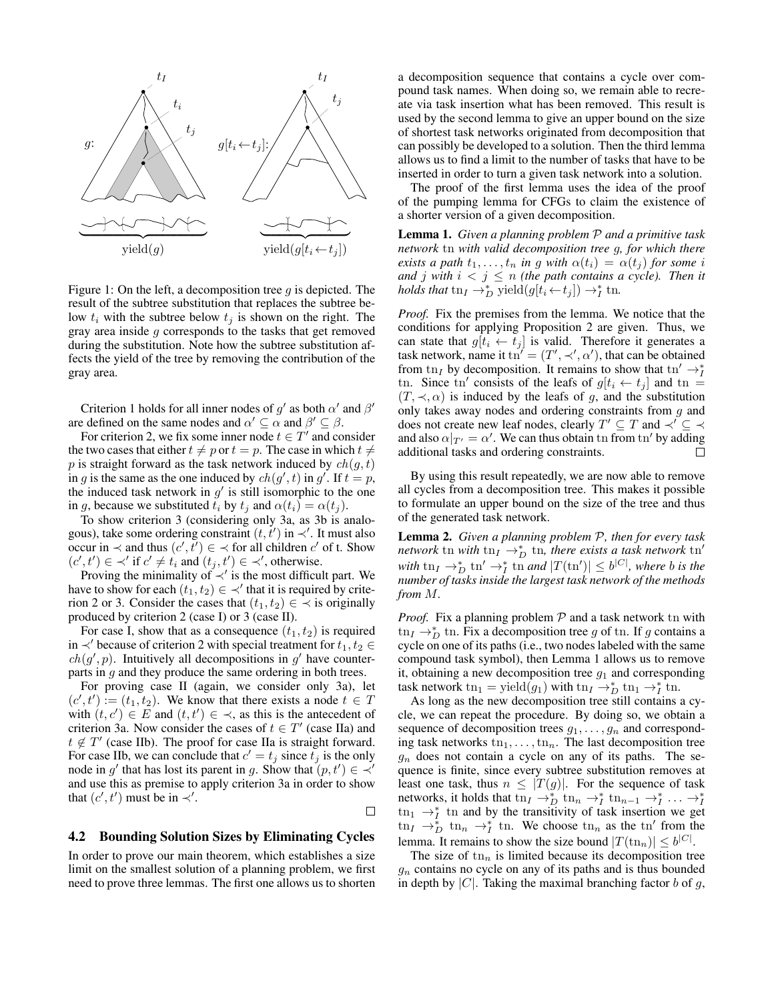

Figure 1: On the left, a decomposition tree q is depicted. The result of the subtree substitution that replaces the subtree below  $t_i$  with the subtree below  $t_j$  is shown on the right. The gray area inside  $g$  corresponds to the tasks that get removed during the substitution. Note how the subtree substitution affects the yield of the tree by removing the contribution of the gray area.

Criterion 1 holds for all inner nodes of  $g'$  as both  $\alpha'$  and  $\beta'$ are defined on the same nodes and  $\alpha' \subseteq \alpha$  and  $\beta' \subseteq \beta$ .

For criterion 2, we fix some inner node  $t \in T'$  and consider the two cases that either  $t \neq p$  or  $t = p$ . The case in which  $t \neq$ p is straight forward as the task network induced by  $ch(g, t)$ in g is the same as the one induced by  $ch(g', t)$  in g'. If  $t = p$ , the induced task network in  $g'$  is still isomorphic to the one in g, because we substituted  $t_i$  by  $t_j$  and  $\alpha(t_i) = \alpha(t_j)$ .

To show criterion 3 (considering only 3a, as 3b is analogous), take some ordering constraint  $(t, t')$  in  $\prec'$ . It must also occur in  $\prec$  and thus  $(c', \bar{t}') \in \prec$  for all children c' of t. Show  $(c', t') \in \prec'$  if  $c' \neq t_i$  and  $(t_j, t') \in \prec'$ , otherwise.

Proving the minimality of  $\prec'$  is the most difficult part. We have to show for each  $(t_1, t_2) \in \prec'$  that it is required by criterion 2 or 3. Consider the cases that  $(t_1, t_2) \in \prec$  is originally produced by criterion 2 (case I) or 3 (case II).

For case I, show that as a consequence  $(t_1, t_2)$  is required in ≺' because of criterion 2 with special treatment for  $t_1, t_2$  ∈  $ch(g', p)$ . Intuitively all decompositions in g' have counterparts in g and they produce the same ordering in both trees.

For proving case II (again, we consider only 3a), let  $(c', t') := (t_1, t_2)$ . We know that there exists a node  $t \in T$ with  $(t, c') \in E$  and  $(t, t') \in \prec$ , as this is the antecedent of criterion 3a. Now consider the cases of  $t \in T'$  (case IIa) and  $t \notin T'$  (case IIb). The proof for case IIa is straight forward. For case IIb, we can conclude that  $c' = t_j$  since  $t_j$  is the only node in g' that has lost its parent in g. Show that  $(p, t') \in \prec'$ and use this as premise to apply criterion 3a in order to show that  $(c', t')$  must be in  $\prec'$ .

 $\Box$ 

#### 4.2 Bounding Solution Sizes by Eliminating Cycles

In order to prove our main theorem, which establishes a size limit on the smallest solution of a planning problem, we first need to prove three lemmas. The first one allows us to shorten a decomposition sequence that contains a cycle over compound task names. When doing so, we remain able to recreate via task insertion what has been removed. This result is used by the second lemma to give an upper bound on the size of shortest task networks originated from decomposition that can possibly be developed to a solution. Then the third lemma allows us to find a limit to the number of tasks that have to be inserted in order to turn a given task network into a solution.

The proof of the first lemma uses the idea of the proof of the pumping lemma for CFGs to claim the existence of a shorter version of a given decomposition.

Lemma 1. *Given a planning problem* P *and a primitive task network* tn *with valid decomposition tree* g*, for which there exists a path*  $t_1, \ldots, t_n$  *in* g *with*  $\alpha(t_i) = \alpha(t_j)$  *for some i and j with*  $i < j \leq n$  *(the path contains a cycle). Then it holds that*  $\tan_I \rightarrow_D^*$  yield $(g[t_i \leftarrow t_j]) \rightarrow_I^*$  tn.

*Proof.* Fix the premises from the lemma. We notice that the conditions for applying Proposition 2 are given. Thus, we can state that  $g[t_i \leftarrow t_j]$  is valid. Therefore it generates a task network, name it th $\alpha' = (T', \prec', \alpha')$ , that can be obtained from tn<sub>I</sub> by decomposition. It remains to show that tn'  $\rightarrow_I^*$ tn. Since tn' consists of the leafs of  $g[t_i \leftarrow t_j]$  and tn =  $(T, \prec, \alpha)$  is induced by the leafs of g, and the substitution only takes away nodes and ordering constraints from  $g$  and does not create new leaf nodes, clearly  $T' \subseteq T$  and  $\prec' \subseteq \prec$ and also  $\alpha|_{T'} = \alpha'$ . We can thus obtain tn from tn' by adding additional tasks and ordering constraints. П

By using this result repeatedly, we are now able to remove all cycles from a decomposition tree. This makes it possible to formulate an upper bound on the size of the tree and thus of the generated task network.

Lemma 2. *Given a planning problem* P*, then for every task network* tn *with*  $\tan_{I} \rightarrow_{D}^{*}$  tn, *there exists a task network* tn<sup>'</sup>  $\|with \operatorname{tn}_I \to_D^* \operatorname{tn}' \to_I^* \operatorname{tn}$  and  $|T(\operatorname{tn}')| \leq b^{|C|}$ , where *b* is the *number of tasks inside the largest task network of the methods from* M*.*

*Proof.* Fix a planning problem  $P$  and a task network tn with  $\tan I \rightarrow_D^*$  tn. Fix a decomposition tree g of tn. If g contains a cycle on one of its paths (i.e., two nodes labeled with the same compound task symbol), then Lemma 1 allows us to remove it, obtaining a new decomposition tree  $g_1$  and corresponding task network  $tn_1 = yield(g_1)$  with  $tn_I \rightarrow_D^* tn_1 \rightarrow_I^* tn$ .

As long as the new decomposition tree still contains a cycle, we can repeat the procedure. By doing so, we obtain a sequence of decomposition trees  $g_1, \ldots, g_n$  and corresponding task networks  $\text{tn}_1, \ldots, \text{tn}_n$ . The last decomposition tree  $g_n$  does not contain a cycle on any of its paths. The sequence is finite, since every subtree substitution removes at least one task, thus  $n \leq |T(g)|$ . For the sequence of task networks, it holds that  $\text{tn}_I \to_D^* \text{tn}_n \to_I^* \text{tn}_{n-1} \to_I^* \dots \to_I^*$  $\tan_1 \rightarrow_I^*$  tn and by the transitivity of task insertion we get  $\tan I \rightarrow_D^*$  tn<sub>n</sub>  $\rightarrow_I^*$  tn. We choose tn<sub>n</sub> as the tn' from the lemma. It remains to show the size bound  $|T(\text{tn}_n)| \leq b^{|C|}$ .

The size of  $t_{n}$  is limited because its decomposition tree  $g_n$  contains no cycle on any of its paths and is thus bounded in depth by  $|C|$ . Taking the maximal branching factor b of g,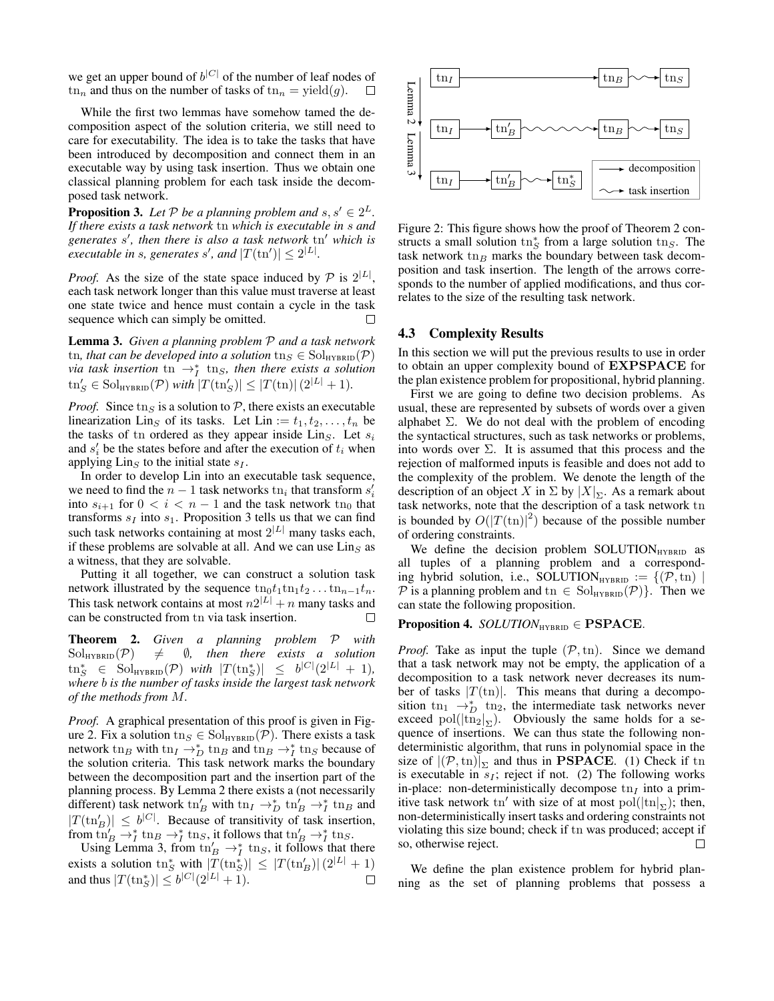we get an upper bound of  $b^{|C|}$  of the number of leaf nodes of tn<sub>n</sub> and thus on the number of tasks of tn<sub>n</sub> = yield(*g*).  $\Box$ 

While the first two lemmas have somehow tamed the decomposition aspect of the solution criteria, we still need to care for executability. The idea is to take the tasks that have been introduced by decomposition and connect them in an executable way by using task insertion. Thus we obtain one classical planning problem for each task inside the decomposed task network.

**Proposition 3.** Let  $P$  be a planning problem and  $s, s' \in 2^L$ . *If there exists a task network* tn *which is executable in* s *and generates* s', then there is also a task network tn' which is *executable in s, generates s', and*  $|T(\text{tn'})| \leq 2^{|L|}$ *.* 

*Proof.* As the size of the state space induced by  $P$  is  $2^{|L|}$ , each task network longer than this value must traverse at least one state twice and hence must contain a cycle in the task sequence which can simply be omitted.  $\Box$ 

Lemma 3. *Given a planning problem* P *and a task network* tn, that can be developed into a solution  $\text{tn}_S \in \text{Sol}_{\text{HYBRID}}(\mathcal{P})$ *via task insertion*  $\text{tn}_{f} \rightarrow^*_{I} \text{tn}_{S}$ , then there exists a solution  $\tan_S' \in \text{Sol}_{\text{HYBRID}}(\mathcal{P})$  *with*  $|T(\text{tn}'_S)| \leq |T(\text{tn})| (2^{|L|} + 1)$ *.* 

*Proof.* Since tn<sub>S</sub> is a solution to  $P$ , there exists an executable linearization Lin<sub>S</sub> of its tasks. Let Lin :=  $t_1, t_2, \ldots, t_n$  be the tasks of tn ordered as they appear inside  $\text{Lin}_S$ . Let  $s_i$ and  $s_i'$  be the states before and after the execution of  $t_i$  when applying  $\text{Lin}_S$  to the initial state  $s_I$ .

In order to develop Lin into an executable task sequence, we need to find the  $n - 1$  task networks  $\text{tn}_i$  that transform  $s'_i$ into  $s_{i+1}$  for  $0 < i < n-1$  and the task network tn<sub>0</sub> that transforms  $s_I$  into  $s_1$ . Proposition 3 tells us that we can find such task networks containing at most  $2^{|L|}$  many tasks each, if these problems are solvable at all. And we can use  $\text{Lin}_S$  as a witness, that they are solvable.

Putting it all together, we can construct a solution task network illustrated by the sequence  $\text{tn}_0t_1\text{tn}_1t_2 \ldots \text{tn}_{n-1}t_n$ . This task network contains at most  $n2^{|L|} + n$  many tasks and can be constructed from tn via task insertion.  $\Box$ 

Theorem 2. *Given a planning problem* P *with*  $Sol_{HYBRID}(\mathcal{P}) \neq \emptyset$ , then there exists a solution  $\operatorname{tn}_S^*$  ∈ Sol<sub>HYBRID</sub>( $\mathcal{P}$ ) *with*  $|T(\operatorname{tn}_S^*)|$  ≤  $b^{|C|}(2^{|L|} + 1)$ *, where* b *is the number of tasks inside the largest task network of the methods from* M*.*

*Proof.* A graphical presentation of this proof is given in Figure 2. Fix a solution tn<sub>S</sub>  $\in$  Sol<sub>HYBRID</sub> $(\mathcal{P})$ . There exists a task network tn<sub>B</sub> with tn<sub>I</sub>  $\rightarrow_D^*$  tn<sub>B</sub> and tn<sub>B</sub>  $\rightarrow_I^*$  tn<sub>S</sub> because of the solution criteria. This task network marks the boundary between the decomposition part and the insertion part of the planning process. By Lemma 2 there exists a (not necessarily different) task network  $\text{tn}'_B$  with  $\text{tn}_I \rightarrow_D^* \text{tn}'_B \rightarrow_I^* \text{tn}_B$  and  $|T(\text{tn}_B')| \leq b^{|C|}$ . Because of transitivity of task insertion, from  $\text{tn}_B' \to_l^* \text{tn}_B \to_l^* \text{tn}_S$ , it follows that  $\text{tn}_B' \to_l^* \text{tn}_S$ .

Using Lemma 3, from  $\text{tn}'_B \to^* I$  tn<sub>S</sub>, it follows that there exists a solution  $\tan_S^*$  with  $|T(\tan_S^*)| \leq |T(\tan_B^*)| (2^{|L|} + 1)$ and thus  $|T(\text{tn}_S^*)| \le b^{|C|} (2^{|L|} + 1)$ .  $\Box$ 



Figure 2: This figure shows how the proof of Theorem 2 constructs a small solution  $\text{tn}_S^*$  from a large solution  $\text{tn}_S$ . The task network tn $_B$  marks the boundary between task decomposition and task insertion. The length of the arrows corresponds to the number of applied modifications, and thus correlates to the size of the resulting task network.

### 4.3 Complexity Results

In this section we will put the previous results to use in order to obtain an upper complexity bound of EXPSPACE for the plan existence problem for propositional, hybrid planning.

First we are going to define two decision problems. As usual, these are represented by subsets of words over a given alphabet  $\Sigma$ . We do not deal with the problem of encoding the syntactical structures, such as task networks or problems, into words over  $\Sigma$ . It is assumed that this process and the rejection of malformed inputs is feasible and does not add to the complexity of the problem. We denote the length of the description of an object X in  $\Sigma$  by  $|X|_{\Sigma}$ . As a remark about task networks, note that the description of a task network tn is bounded by  $O(|T(\text{tn})|^2)$  because of the possible number of ordering constraints.

We define the decision problem  $SOLUTION_{HYBRID}$  as all tuples of a planning problem and a corresponding hybrid solution, i.e., SOLUTION<sub>HYBRID</sub> := { $(\mathcal{P}, \text{tn})$  | P is a planning problem and tn  $\in$  Sol<sub>HYBRID</sub> $(\mathcal{P})$ . Then we can state the following proposition.

# Proposition 4. *SOLUTION*<sub>HYBRID</sub> ∈ PSPACE.

*Proof.* Take as input the tuple  $(\mathcal{P}, \text{tn})$ . Since we demand that a task network may not be empty, the application of a decomposition to a task network never decreases its number of tasks  $|T(\text{tn})|$ . This means that during a decomposition tn<sub>1</sub>  $\rightarrow_D^*$  tn<sub>2</sub>, the intermediate task networks never exceed pol( $\left|\tan_{2}\right|_{\Sigma}$ ). Obviously the same holds for a sequence of insertions. We can thus state the following nondeterministic algorithm, that runs in polynomial space in the size of  $|(\mathcal{P}, \text{tn})|_{\Sigma}$  and thus in **PSPACE**. (1) Check if tn is executable in  $s_I$ ; reject if not. (2) The following works in-place: non-deterministically decompose  $\text{tr}_I$  into a primitive task network tn' with size of at most  $pol(|tn|_{\Sigma})$ ; then, non-deterministically insert tasks and ordering constraints not violating this size bound; check if tn was produced; accept if so, otherwise reject. П

We define the plan existence problem for hybrid planning as the set of planning problems that possess a